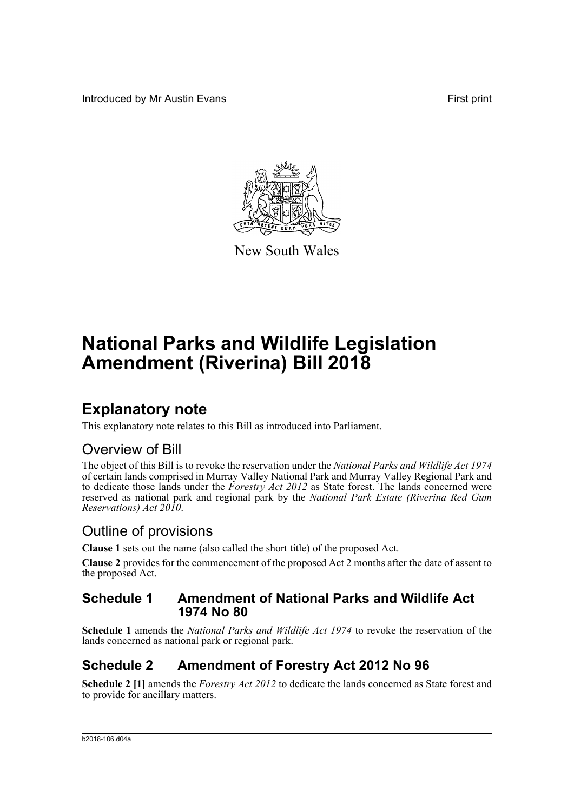Introduced by Mr Austin Evans First print



New South Wales

# **National Parks and Wildlife Legislation Amendment (Riverina) Bill 2018**

## **Explanatory note**

This explanatory note relates to this Bill as introduced into Parliament.

## Overview of Bill

The object of this Bill is to revoke the reservation under the *National Parks and Wildlife Act 1974* of certain lands comprised in Murray Valley National Park and Murray Valley Regional Park and to dedicate those lands under the *Forestry Act 2012* as State forest. The lands concerned were reserved as national park and regional park by the *National Park Estate (Riverina Red Gum Reservations) Act 2010*.

## Outline of provisions

**Clause 1** sets out the name (also called the short title) of the proposed Act.

**Clause 2** provides for the commencement of the proposed Act 2 months after the date of assent to the proposed Act.

### **Schedule 1 Amendment of National Parks and Wildlife Act 1974 No 80**

**Schedule 1** amends the *National Parks and Wildlife Act 1974* to revoke the reservation of the lands concerned as national park or regional park.

## **Schedule 2 Amendment of Forestry Act 2012 No 96**

**Schedule 2 [1]** amends the *Forestry Act 2012* to dedicate the lands concerned as State forest and to provide for ancillary matters.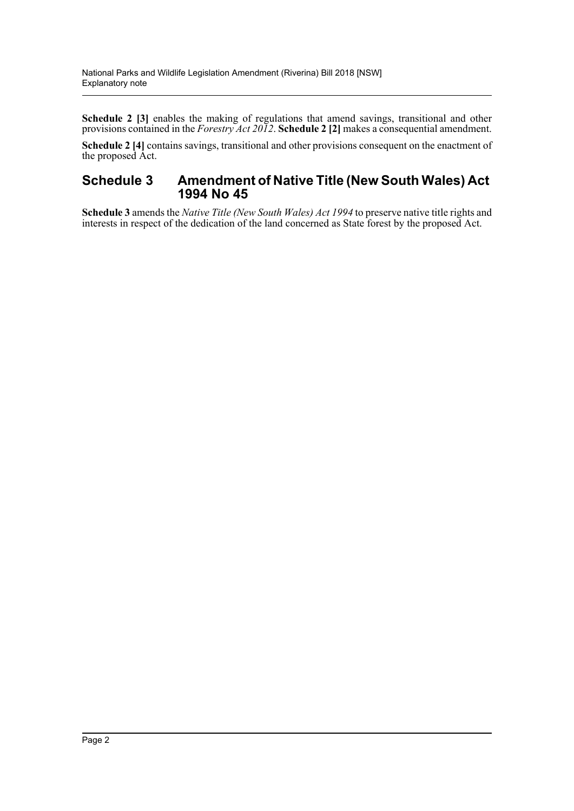**Schedule 2 [3]** enables the making of regulations that amend savings, transitional and other provisions contained in the *Forestry Act 2012*. **Schedule 2 [2]** makes a consequential amendment.

**Schedule 2 [4]** contains savings, transitional and other provisions consequent on the enactment of the proposed Act.

#### **Schedule 3 Amendment of Native Title (New South Wales) Act 1994 No 45**

**Schedule 3** amends the *Native Title (New South Wales) Act 1994* to preserve native title rights and interests in respect of the dedication of the land concerned as State forest by the proposed Act.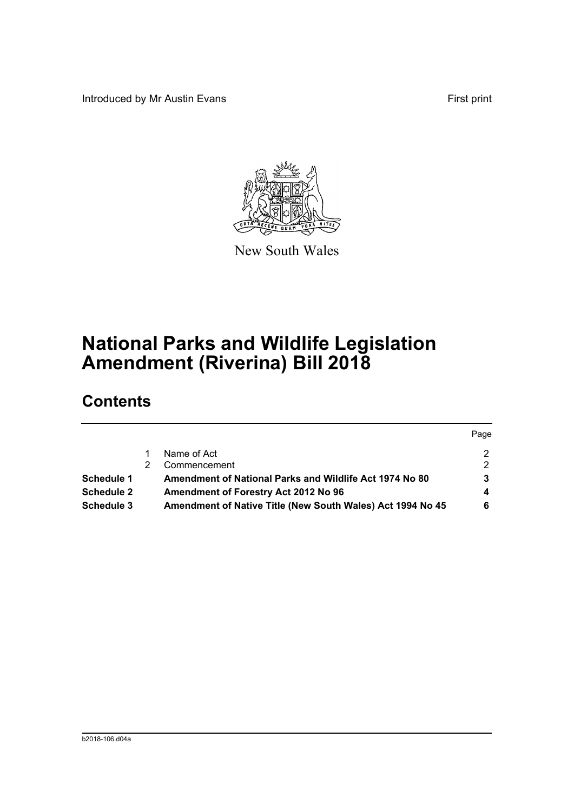Introduced by Mr Austin Evans First print

Page



New South Wales

# **National Parks and Wildlife Legislation Amendment (Riverina) Bill 2018**

## **Contents**

|            |                                                            | <b>Page</b> |
|------------|------------------------------------------------------------|-------------|
|            | Name of Act                                                | 2.          |
|            | Commencement                                               | 2           |
| Schedule 1 | Amendment of National Parks and Wildlife Act 1974 No 80    | 3.          |
| Schedule 2 | Amendment of Forestry Act 2012 No 96                       | 4           |
| Schedule 3 | Amendment of Native Title (New South Wales) Act 1994 No 45 | 6           |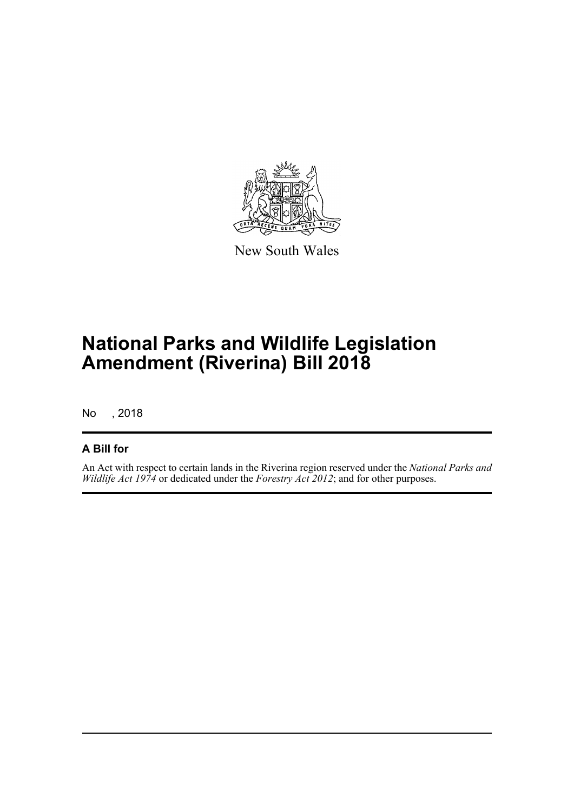

New South Wales

# **National Parks and Wildlife Legislation Amendment (Riverina) Bill 2018**

No , 2018

### **A Bill for**

An Act with respect to certain lands in the Riverina region reserved under the *National Parks and Wildlife Act 1974* or dedicated under the *Forestry Act 2012*; and for other purposes.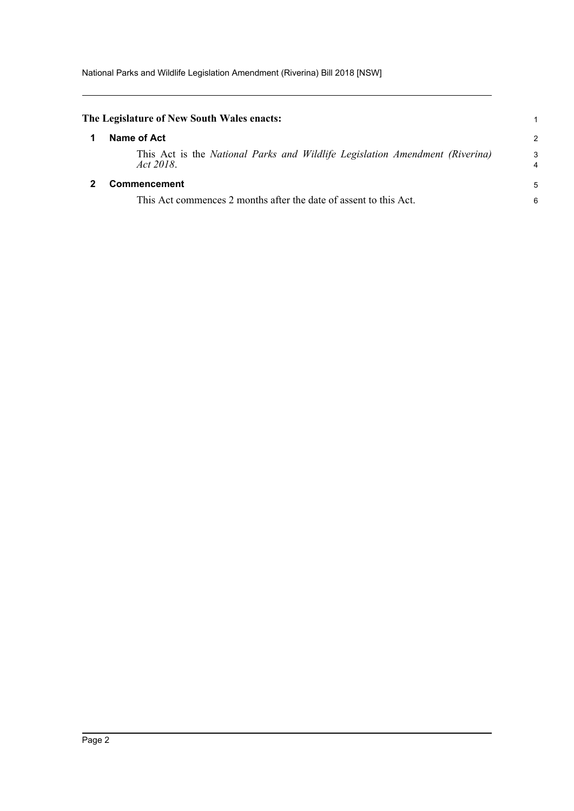<span id="page-4-1"></span><span id="page-4-0"></span>

|   | The Legislature of New South Wales enacts:                                                |        |
|---|-------------------------------------------------------------------------------------------|--------|
|   | Name of Act                                                                               | 2      |
|   | This Act is the National Parks and Wildlife Legislation Amendment (Riverina)<br>Act 2018. | 3<br>4 |
| 2 | Commencement                                                                              | 5      |
|   | This Act commences 2 months after the date of assent to this Act.                         | 6      |
|   |                                                                                           |        |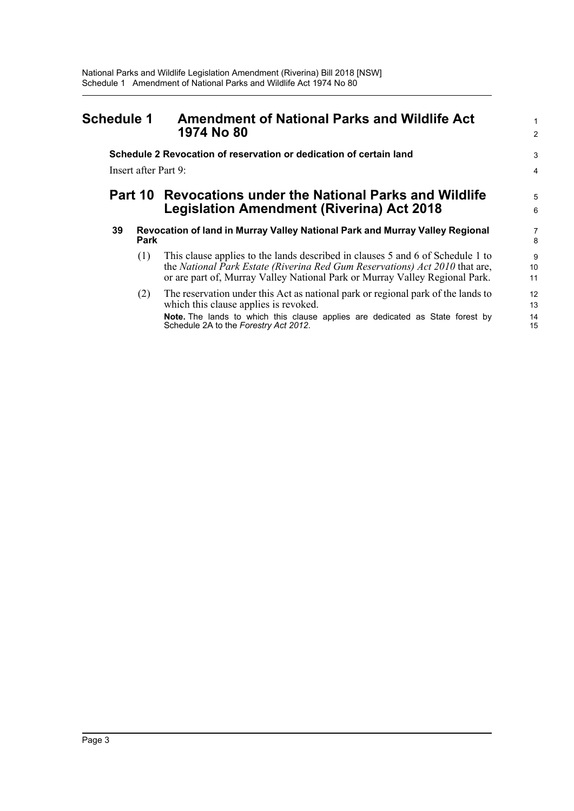### <span id="page-5-0"></span>**Schedule 1 Amendment of National Parks and Wildlife Act 1974 No 80** <sup>2</sup>

## **Schedule 2 Revocation of reservation or dedication of certain land** 3

Insert after Part 9: 4

### **Part 10 Revocations under the National Parks and Wildlife** <sup>5</sup> **Legislation Amendment (Riverina) Act 2018**

#### **39 Revocation of land in Murray Valley National Park and Murray Valley Regional** 7 **Park** 8

- (1) This clause applies to the lands described in clauses 5 and 6 of Schedule 1 to 9 the *National Park Estate (Riverina Red Gum Reservations) Act 2010* that are, 10 or are part of, Murray Valley National Park or Murray Valley Regional Park. 11
- (2) The reservation under this Act as national park or regional park of the lands to 12 which this clause applies is revoked. 13 **Note.** The lands to which this clause applies are dedicated as State forest by 14<br>Schedule 2A to the Forestry Act 2012 Schedule 2A to the *Forestry Act 2012*.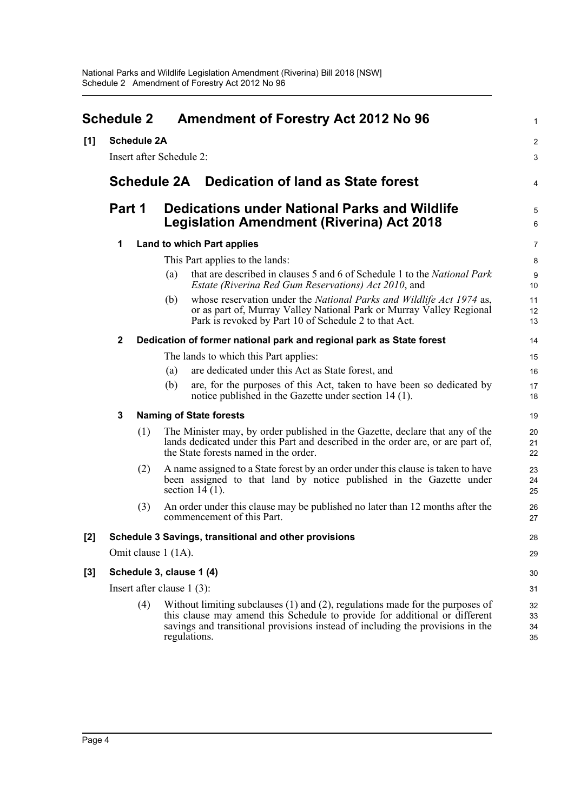<span id="page-6-0"></span>

|       | <b>Schedule 2</b>            |                    |                                                                                                          | <b>Amendment of Forestry Act 2012 No 96</b>                                                                                                                                                                                                                        |                      |  |
|-------|------------------------------|--------------------|----------------------------------------------------------------------------------------------------------|--------------------------------------------------------------------------------------------------------------------------------------------------------------------------------------------------------------------------------------------------------------------|----------------------|--|
| [1]   |                              | <b>Schedule 2A</b> |                                                                                                          |                                                                                                                                                                                                                                                                    | 2                    |  |
|       |                              |                    | Insert after Schedule 2:                                                                                 |                                                                                                                                                                                                                                                                    | З                    |  |
|       |                              |                    |                                                                                                          | Schedule 2A Dedication of land as State forest                                                                                                                                                                                                                     |                      |  |
|       | Part 1                       |                    | <b>Dedications under National Parks and Wildlife</b><br><b>Legislation Amendment (Riverina) Act 2018</b> |                                                                                                                                                                                                                                                                    | Е                    |  |
|       | 1                            |                    | Land to which Part applies                                                                               |                                                                                                                                                                                                                                                                    |                      |  |
|       |                              |                    |                                                                                                          | This Part applies to the lands:                                                                                                                                                                                                                                    |                      |  |
|       |                              |                    | (a)                                                                                                      | that are described in clauses 5 and 6 of Schedule 1 to the National Park<br>Estate (Riverina Red Gum Reservations) Act 2010, and                                                                                                                                   | ς<br>10              |  |
|       |                              |                    | (b)                                                                                                      | whose reservation under the National Parks and Wildlife Act 1974 as,<br>or as part of, Murray Valley National Park or Murray Valley Regional<br>Park is revoked by Part 10 of Schedule 2 to that Act.                                                              | 11<br>12<br>13       |  |
|       | $\mathbf 2$                  |                    |                                                                                                          | Dedication of former national park and regional park as State forest                                                                                                                                                                                               | 14                   |  |
|       |                              |                    |                                                                                                          | The lands to which this Part applies:                                                                                                                                                                                                                              | 15                   |  |
|       |                              |                    | (a)                                                                                                      | are dedicated under this Act as State forest, and                                                                                                                                                                                                                  | 16                   |  |
|       |                              |                    | (b)                                                                                                      | are, for the purposes of this Act, taken to have been so dedicated by<br>notice published in the Gazette under section 14 (1).                                                                                                                                     | 17<br>18             |  |
|       | 3                            |                    |                                                                                                          | <b>Naming of State forests</b>                                                                                                                                                                                                                                     | 19                   |  |
|       |                              | (1)                |                                                                                                          | The Minister may, by order published in the Gazette, declare that any of the<br>lands dedicated under this Part and described in the order are, or are part of,<br>the State forests named in the order.                                                           | 20<br>21<br>22       |  |
|       |                              | (2)                |                                                                                                          | A name assigned to a State forest by an order under this clause is taken to have<br>been assigned to that land by notice published in the Gazette under<br>section $14(1)$ .                                                                                       | 23<br>24<br>25       |  |
|       |                              | (3)                |                                                                                                          | An order under this clause may be published no later than 12 months after the<br>commencement of this Part.                                                                                                                                                        | 26<br>27             |  |
| $[2]$ |                              |                    |                                                                                                          | Schedule 3 Savings, transitional and other provisions                                                                                                                                                                                                              | 28                   |  |
|       | Omit clause 1 (1A).          |                    |                                                                                                          |                                                                                                                                                                                                                                                                    |                      |  |
| [3]   | Schedule 3, clause 1 (4)     |                    |                                                                                                          |                                                                                                                                                                                                                                                                    | 30                   |  |
|       | Insert after clause $1(3)$ : |                    |                                                                                                          |                                                                                                                                                                                                                                                                    | 31                   |  |
|       |                              | (4)                |                                                                                                          | Without limiting subclauses $(1)$ and $(2)$ , regulations made for the purposes of<br>this clause may amend this Schedule to provide for additional or different<br>savings and transitional provisions instead of including the provisions in the<br>regulations. | 32<br>33<br>34<br>35 |  |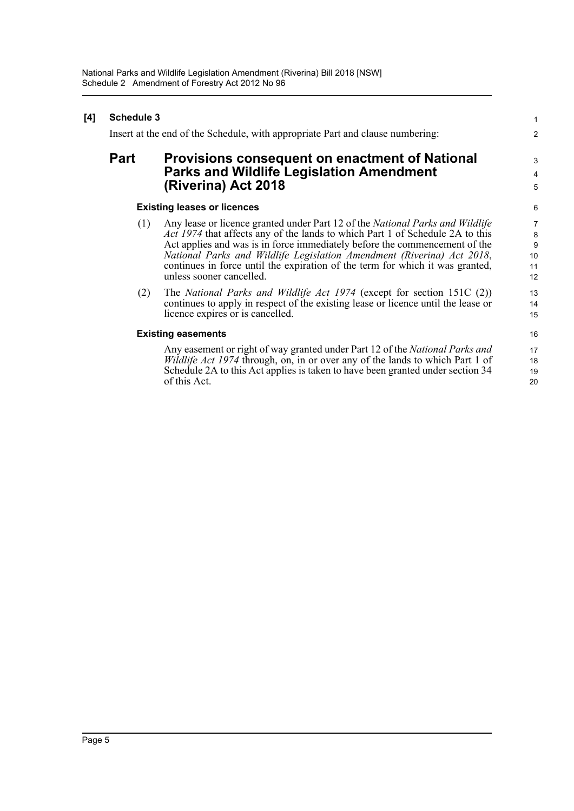| [4] | <b>Schedule 3</b> |                                                                                                                                                                                                                                                                                                                                                                                                                                     |                                                                           |
|-----|-------------------|-------------------------------------------------------------------------------------------------------------------------------------------------------------------------------------------------------------------------------------------------------------------------------------------------------------------------------------------------------------------------------------------------------------------------------------|---------------------------------------------------------------------------|
|     |                   | Insert at the end of the Schedule, with appropriate Part and clause numbering:                                                                                                                                                                                                                                                                                                                                                      | $\overline{2}$                                                            |
|     | Part              | <b>Provisions consequent on enactment of National</b><br><b>Parks and Wildlife Legislation Amendment</b><br>(Riverina) Act 2018                                                                                                                                                                                                                                                                                                     | 3<br>4<br>5                                                               |
|     |                   | <b>Existing leases or licences</b>                                                                                                                                                                                                                                                                                                                                                                                                  | 6                                                                         |
|     | (1)               | Any lease or licence granted under Part 12 of the National Parks and Wildlife<br>Act 1974 that affects any of the lands to which Part 1 of Schedule 2A to this<br>Act applies and was is in force immediately before the commencement of the<br>National Parks and Wildlife Legislation Amendment (Riverina) Act 2018,<br>continues in force until the expiration of the term for which it was granted,<br>unless sooner cancelled. | $\begin{array}{c} 7 \\ 8 \end{array}$<br>$\overline{9}$<br>10<br>11<br>12 |
|     | (2)               | The National Parks and Wildlife Act 1974 (except for section 151C $(2)$ )<br>continues to apply in respect of the existing lease or licence until the lease or<br>licence expires or is cancelled.                                                                                                                                                                                                                                  | 13<br>14<br>15                                                            |
|     |                   | <b>Existing easements</b>                                                                                                                                                                                                                                                                                                                                                                                                           | 16                                                                        |
|     |                   | Any easement or right of way granted under Part 12 of the National Parks and<br><i>Wildlife Act 1974</i> through, on, in or over any of the lands to which Part 1 of<br>Schedule 2A to this Act applies is taken to have been granted under section 34<br>of this Act.                                                                                                                                                              | 17<br>18<br>19<br>20                                                      |